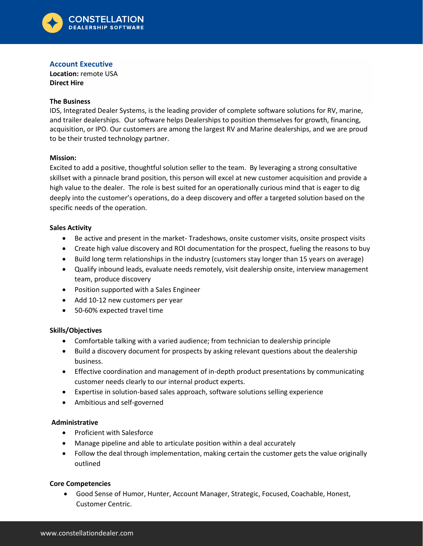

# **Account Executive**

**Location:** remote USA **Direct Hire**

#### **The Business**

IDS, Integrated Dealer Systems, is the leading provider of complete software solutions for RV, marine, and trailer dealerships. Our software helps Dealerships to position themselves for growth, financing, acquisition, or IPO. Our customers are among the largest RV and Marine dealerships, and we are proud to be their trusted technology partner.

#### **Mission:**

Excited to add a positive, thoughtful solution seller to the team. By leveraging a strong consultative skillset with a pinnacle brand position, this person will excel at new customer acquisition and provide a high value to the dealer. The role is best suited for an operationally curious mind that is eager to dig deeply into the customer's operations, do a deep discovery and offer a targeted solution based on the specific needs of the operation.

#### **Sales Activity**

- Be active and present in the market- Tradeshows, onsite customer visits, onsite prospect visits
- Create high value discovery and ROI documentation for the prospect, fueling the reasons to buy
- Build long term relationships in the industry (customers stay longer than 15 years on average)
- Qualify inbound leads, evaluate needs remotely, visit dealership onsite, interview management team, produce discovery
- Position supported with a Sales Engineer
- Add 10-12 new customers per year
- 50-60% expected travel time

### **Skills/Objectives**

- Comfortable talking with a varied audience; from technician to dealership principle
- Build a discovery document for prospects by asking relevant questions about the dealership business.
- Effective coordination and management of in-depth product presentations by communicating customer needs clearly to our internal product experts.
- Expertise in solution-based sales approach, software solutions selling experience
- Ambitious and self-governed

### **Administrative**

- Proficient with Salesforce
- Manage pipeline and able to articulate position within a deal accurately
- Follow the deal through implementation, making certain the customer gets the value originally outlined

### **Core Competencies**

• Good Sense of Humor, Hunter, Account Manager, Strategic, Focused, Coachable, Honest, Customer Centric.